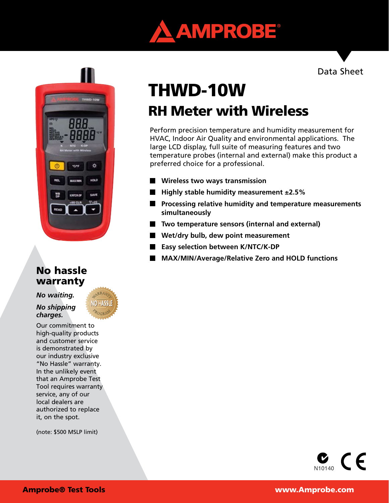



# No hassle warranty

*No waiting.* 

*No shipping charges.*

Our commitment to high-quality products and customer service is demonstrated by our industry exclusive "No Hassle" warranty. In the unlikely event that an Amprobe Test Tool requires warranty service, any of our local dealers are authorized to replace it, on the spot.

(note: \$500 MSLP limit)

# RH Meter with Wireless THWD-10W

Perform precision temperature and humidity measurement for HVAC, Indoor Air Quality and environmental applications. The large LCD display, full suite of measuring features and two temperature probes (internal and external) make this product a preferred choice for a professional.

- **Wireless two ways transmission**
- Highly stable humidity measurement ±2.5%
- **Processing relative humidity and temperature measurements simultaneously**
- Two temperature sensors (internal and external)
- **Wet/dry bulb, dew point measurement**
- $\blacksquare$ **Easy selection between K/NTC/K-DP**
- **MAX/MIN/Average/Relative Zero and HOLD functions**

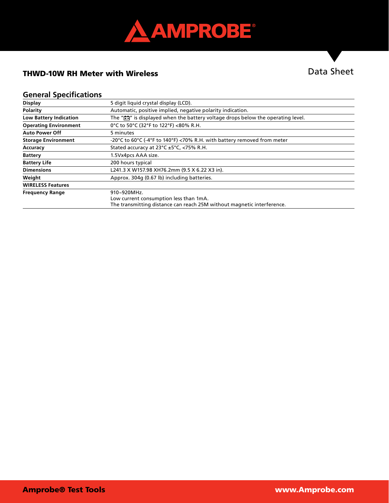

# THWD-10W RH Meter with Wireless

# Data Sheet

## **General Specifications**

| <b>Display</b>                | 5 digit liquid crystal display (LCD).                                                        |
|-------------------------------|----------------------------------------------------------------------------------------------|
| <b>Polarity</b>               | Automatic, positive implied, negative polarity indication.                                   |
| <b>Low Battery Indication</b> | The " $\frac{1}{2}$ " is displayed when the battery voltage drops below the operating level. |
| <b>Operating Environment</b>  | 0°C to 50°C (32°F to 122°F) <80% R.H.                                                        |
| <b>Auto Power Off</b>         | 5 minutes                                                                                    |
| <b>Storage Environment</b>    | -20°C to 60°C (-4°F to 140°F) <70% R.H. with battery removed from meter                      |
| Accuracy                      | Stated accuracy at $23^{\circ}$ C $\pm 5^{\circ}$ C, <75% R.H.                               |
| <b>Battery</b>                | 1.5Vx4pcs AAA size.                                                                          |
| <b>Battery Life</b>           | 200 hours typical                                                                            |
| <b>Dimensions</b>             | L241.3 X W157.98 XH76.2mm (9.5 X 6.22 X3 in).                                                |
| Weight                        | Approx. 304q (0.67 lb) including batteries.                                                  |
| <b>WIRELESS Features</b>      |                                                                                              |
| <b>Frequency Range</b>        | 910~920MHz.                                                                                  |
|                               | Low current consumption less than 1mA.                                                       |
|                               | The transmitting distance can reach 25M without magnetic interference.                       |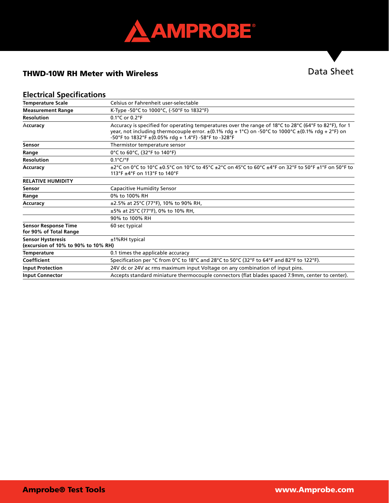

# THWD-10W RH Meter with Wireless

# Data Sheet

## **Electrical Specifications**

| <b>Temperature Scale</b>                                        | Celsius or Fahrenheit user-selectable                                                                                                                                                                                                                                        |
|-----------------------------------------------------------------|------------------------------------------------------------------------------------------------------------------------------------------------------------------------------------------------------------------------------------------------------------------------------|
| <b>Measurement Range</b>                                        | K-Type -50°C to 1000°C, (-50°F to 1832°F)                                                                                                                                                                                                                                    |
| <b>Resolution</b>                                               | 0.1°C or 0.2°F                                                                                                                                                                                                                                                               |
| Accuracy                                                        | Accuracy is specified for operating temperatures over the range of 18°C to 28°C (64°F to 82°F), for 1<br>year, not including thermocouple error. $\pm$ (0.1% rdg + 1°C) on -50°C to 1000°C $\pm$ (0.1% rdg + 2°F) on<br>-50°F to 1832°F ±(0.05% rdg + 1.4°F) -58°F to -328°F |
| Sensor                                                          | Thermistor temperature sensor                                                                                                                                                                                                                                                |
| Range                                                           | 0°C to 60°C, (32°F to 140°F)                                                                                                                                                                                                                                                 |
| <b>Resolution</b>                                               | $0.1^{\circ}$ C/ $^{\circ}$ F                                                                                                                                                                                                                                                |
| Accuracy                                                        | $\pm$ 2°C on 0°C to 10°C $\pm$ 0.5°C on 10°C to 45°C $\pm$ 2°C on 45°C to 60°C $\pm$ 4°F on 32°F to 50°F $\pm$ 1°F on 50°F to<br>113°F ±4°F on 113°F to 140°F                                                                                                                |
| <b>RELATIVE HUMIDITY</b>                                        |                                                                                                                                                                                                                                                                              |
| <b>Sensor</b>                                                   | <b>Capacitive Humidity Sensor</b>                                                                                                                                                                                                                                            |
| Range                                                           | 0% to 100% RH                                                                                                                                                                                                                                                                |
| Accuracy                                                        | ±2.5% at 25°C (77°F), 10% to 90% RH,                                                                                                                                                                                                                                         |
|                                                                 | ±5% at 25°C (77°F), 0% to 10% RH,                                                                                                                                                                                                                                            |
|                                                                 | 90% to 100% RH                                                                                                                                                                                                                                                               |
| <b>Sensor Response Time</b><br>for 90% of Total Range           | 60 sec typical                                                                                                                                                                                                                                                               |
| <b>Sensor Hysteresis</b><br>(excursion of 10% to 90% to 10% RH) | $±1%RH$ typical                                                                                                                                                                                                                                                              |
| Temperature                                                     | 0.1 times the applicable accuracy                                                                                                                                                                                                                                            |
| Coefficient                                                     | Specification per °C from 0°C to 18°C and 28°C to 50°C (32°F to 64°F and 82°F to 122°F).                                                                                                                                                                                     |
| <b>Input Protection</b>                                         | 24V dc or 24V ac rms maximum input Voltage on any combination of input pins.                                                                                                                                                                                                 |
| <b>Input Connector</b>                                          | Accepts standard miniature thermocouple connectors (flat blades spaced 7.9mm, center to center).                                                                                                                                                                             |